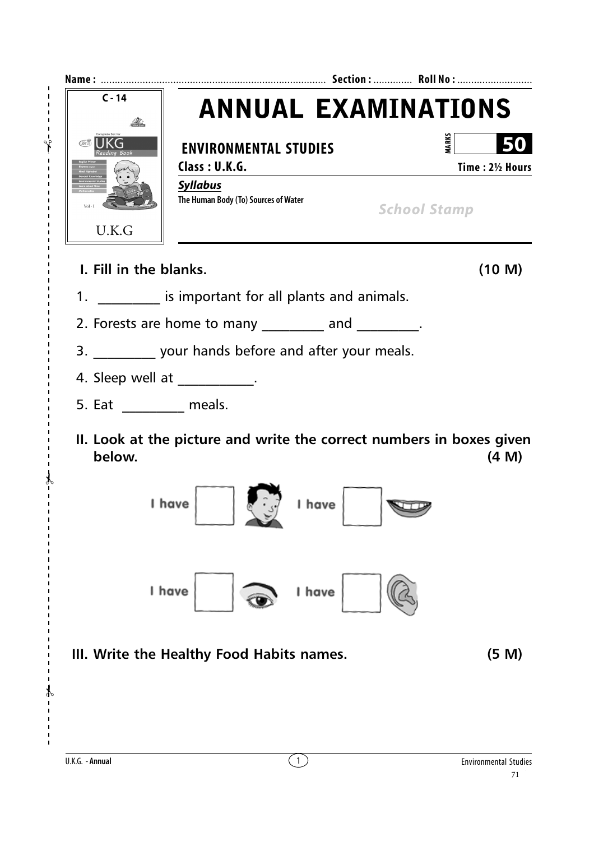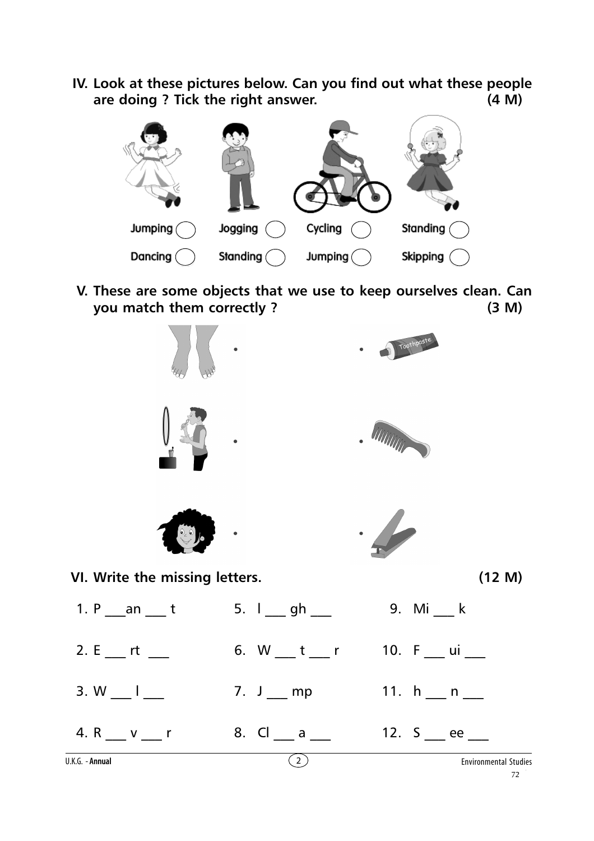**IV. Look at these pictures below. Can you find out what these people are doing ? Tick the right answer. (4 M)**



**V. These are some objects that we use to keep ourselves clean. Can you match them correctly ? (3 M)**